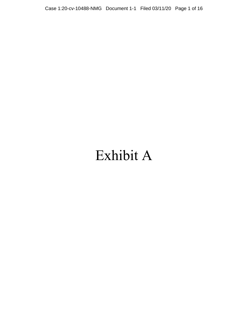# Exhibit A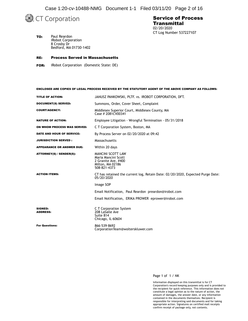Case 1:20-cv-10488-NMG Document 1-1 Filed 03/11/20 Page 2 of 16



### Service of Process **Transmittal** 02/20/2020 CT Log Number 537227107

TO: Paul Reardon iRobot Corporation 8 Crosby Dr Bedford, MA 01730-1402

### RE: Process Served in Massachusetts

FOR: iRobot Corporation (Domestic State: DE)

### ENCLOSED ARE COPIES OF LEGAL PROCESS RECEIVED BY THE STATUTORY AGENT OF THE ABOVE COMPANY AS FOLLOWS:

| TITLE OF ACTION:                  | JANUSZ PANKOWSKI, PLTF. vs. IROBOT CORPORATION, DFT.                                                       |  |  |  |
|-----------------------------------|------------------------------------------------------------------------------------------------------------|--|--|--|
| <b>DOCUMENT(S) SERVED:</b>        | Summons, Order, Cover Sheet, Complaint                                                                     |  |  |  |
| <b>COURT/AGENCY:</b>              | Middlesex Superior Court, Middlesex County, MA<br>Case # 2081CV00341                                       |  |  |  |
| <b>NATURE OF ACTION:</b>          | Employee Litigation - Wrongful Termination - 05/31/2018                                                    |  |  |  |
| ON WHOM PROCESS WAS SERVED:       | C T Corporation System, Boston, MA                                                                         |  |  |  |
| DATE AND HOUR OF SERVICE:         | By Process Server on 02/20/2020 at 09:42                                                                   |  |  |  |
| <b>JURISDICTION SERVED:</b>       | Massachusetts                                                                                              |  |  |  |
| <b>APPEARANCE OR ANSWER DUE:</b>  | Within 20 days                                                                                             |  |  |  |
| ATTORNEY(S) / SENDER(S):          | <b>MANCINI SCOTT LAW</b><br>Maria Mancini Scott<br>2 Granite Ave, #400<br>Milton, MA 02186<br>508-821-4373 |  |  |  |
| <b>ACTION ITEMS:</b>              | CT has retained the current log, Retain Date: 02/20/2020, Expected Purge Date:<br>05/20/2020               |  |  |  |
|                                   | Image SOP                                                                                                  |  |  |  |
|                                   | Email Notification, Paul Reardon preardon@irobot.com                                                       |  |  |  |
|                                   | Email Notification, ERIKA PROWER eprower@irobot.com                                                        |  |  |  |
| <b>SIGNED:</b><br><b>ADDRESS:</b> | C T Corporation System<br>208 LaSalle Ave<br>Suite 814<br>Chicago, IL 60604                                |  |  |  |
| <b>For Questions:</b>             | 866-539-8692<br>CorporationTeam@wolterskluwer.com                                                          |  |  |  |

#### Page 1 of 1 / NK

Information displayed on this transmittal is for CT Corporation's record keeping purposes only and is provided to the recipient for quick reference. This information does not constitute a legal opinion as to the nature of action, the amount of damages, the answer date, or any information contained in the documents themselves. Recipient is responsible for interpreting said documents and for taking appropriate action. Signatures on certified mail receipts confirm receipt of package only, not contents.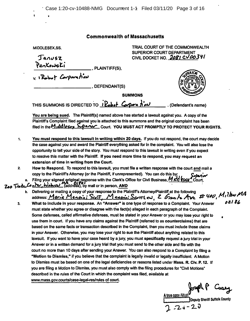### **Commonwealth of Massachusetts**

**MIDDLESEX.SS.**

**(**

**Janusz** 

**. PLAINTIFF(S).**

**V. »**

**. DEFENDANT(S)**

**TRIAL COURT OF THE COMMONWEALTH**

**SUPERIOR COURT DEPARTMENT CIVIL DOCKET NO.** *C\/M3***V/**

**i** *Cole <b>i Cole <b>A <i>Cole <b>I Cole <b>A A <i>PA* **I** *PA* **I** *CO* **C** *COLE <b>I* **C** *COLE <b>I C <i>COLE <b>I* **C** *COLE <b>I* **C** *COLE <b>I* **C** *COLE <b>I C C C C C C C C C* 

**You are being sued. The Plaintiff(s} named above has started a lawsuit against you. A copy of the Plaintiff's Complaint filed against ^ou is attached to this summons and the original complaint has been filed in thsM»AiWc\*y Court. YOU MUST ACT PROMPTLY TO PROTECT YOUR RIGHTS.**

**SUMMONS**

You must respond to this lawsuit in writing within 20 days. If you do not respond, the court may decide the case against you and award the Plaintiff everything asked for in the complaint. You will also lose the opportunity to tell your side of the story. You must respond to this lawsuit in writing even if you expect **to resolve this matter with the Plaintiff. If you need more time to respond, you may request an extension oftime in writing from the Court. 1.**

How to Respond. To respond to this lawsuit, you must file a written response with the court and mail a **copy to the Plaintiff's Attorney (or the Plaintiff, if unrepresented). You can do this by: 2.**

a. Filing your signed original response with the Clerk's Office for Civil Business, MKC LCU Court, *"Zee* **^^gWAj\_^^Mdre^s^\*^by mail or in person, AND**

- b. Delivering or mailing a copy of your response to the Plaintiff's Attorney/Plaintiff at the following<br>address: Maria Manain; Scott, Manain; Scott, en Z Greenha, Ave, #400, Millow MA
- **What to include in your response. An "Answer" is one type of response to a Complaint. Your Answer must state whether you agree or disagree with tiie fact(s) alleged In each paragraph of the Complaint.** Some defenses, called affirmative defenses, must be stated in your Answer or you may lose your right to use them in court. If you have any claims against the Plaintiff (referred to as counterclaims) that are **based on the same facts or transaction described in the Complaint, then you must include those claims** in your Answer. Otherwise, you may lose your right to sue the Plaintiff about anything related to this lawsuit. If you want to have your case heard by a jury, you must specifically request a jury trial in your Answer or in a written demand for a jury trial that you must send to the other side and file with the court no more than 10 days after sending your Answer. You can also respond to a Complaint by filing a "Motion to Dismiss," if you believe that the complaint is legally invalid or legally insufficient. A Motion to Dismiss must be based on one of the legal deficiencies or reasons listed under Mass. R. Civ. P. 12. If you are filing a Motion to Dismiss, you must also comply with the filing procedures for "Civil Motions" **described in the rules of the Court in which the complaint was filed, available at www.mass.gov.courts/case-legal-res/rules of court. 3.**

Cosey **AtiMQCOSVAUS^**

 $02182$ 

**Deputy Sheriff Suffolk County [**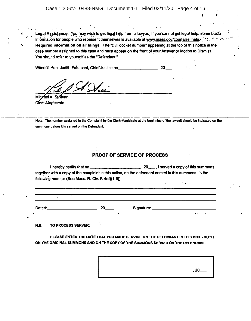*t <sup>1</sup>*

Legal Assistance. You may wish to get legal help from a lawyer...If you cannot get legal help; some basic information for people who represent themselves is available at www.mass.gov/courts/selfhelp.-: ' : ' ' ' ' ' ' ' ' ' ' ' ' ' Required information on all filings: The "civil docket number" appearing at the top of this notice is the case number assigned to this case and must appear on the front of your Answer or Motion to Dismiss. You should refer to yourself as the "Defendant."

Witness Hon. Judith Fabricant, Chief Justice on **Committee 10**, 20

Michael A. Sullivan Cferk-Magistrate

**4.**

s.

Note: The number assigned to the Complaint by the Clerk>Magistrate at the beginning ofthe lawsuit should be indicated on the summons before it is served on the Defendant.

### **PROOF OF SERVICE OF PROCESS**

 $\equiv$ , 20 $\equiv$ , I served a copy of this summons, together with a copy of the complaint in this action, on the defendant named in this summons, in the following manner (See Mass. R. Civ. P. 4(d)(1-5)): i hereby certify that on

Dated: .20 Signature:

ţ

N.B. TO PROCESS SERVER:

PLEASE ENTER THE DATE THAT YOU MADE SERVICE ON THE DEFENDANT IN THIS BOX <sup>&</sup>gt; BOTH ON THE ORIGINAL SUMMONS AND ON THE COPY OF THE SUMMONS SERVED ON THE DEFENDANT.



 $\ddot{\phantom{0}}$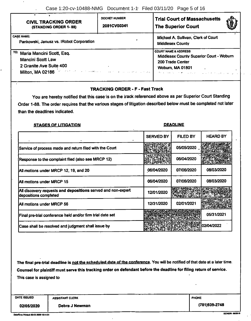| <b>CIVIL TRACKING ORDER</b>                                                                                                                                          | <b>DOCKET NUMBER</b>                | <b>Trial Court of Massachusetts</b>                                                                                                                             |  |  |
|----------------------------------------------------------------------------------------------------------------------------------------------------------------------|-------------------------------------|-----------------------------------------------------------------------------------------------------------------------------------------------------------------|--|--|
| (STANDING ORDER 1-88)                                                                                                                                                | 2081CV00341                         | <b>The Superior Court</b>                                                                                                                                       |  |  |
| <b>CASE NAME:</b>                                                                                                                                                    | Michael A. Sullivan, Clerk of Court |                                                                                                                                                                 |  |  |
| Pankowski, Janusz vs. IRobot Corporation                                                                                                                             | <b>Middlesex County</b>             |                                                                                                                                                                 |  |  |
| TO:<br>Maria Mancini Scott, Esq.<br><b>Mancini Scott Law</b><br>2 Granite Ave Suite 400<br>Milton, MA 02186 - The first construction of the state and service of the |                                     | <b>COURT NAME &amp; ADDRESS</b><br>Middlesex County Superior Court - Woburn<br>200 Trade Center<br>Woburn, MA 01801<br>de la charche componenta de la provincia |  |  |

### **TRACKING ORDER - F - Fast Track**

You are hereby notified that this case is on the track referenced above as per Superior Court Standing Order 1-88. The order requires that the various stages of litigation described below must be completed not later than the deadlines indicated.

### STAGES OF LITIGATION DEADLINE

## SERVED BY | FILED BY | HEARD BY Service of process made and return filed with the Court  $\mathbb{R}$   $\mathbb{R}$   $\mathbb{R}$   $\mathbb{R}$   $\mathbb{R}$   $\mathbb{R}$   $\mathbb{R}$  / 05/05/2020 *<sup>M</sup> m* Response tothe complaintfiled (also see MRCP 12) 06/04/2020 Ail motions under MRCP 12, 19, and 20 06/04/2020 06/04/2020 07/06/2020 08/03/2020 All motions under MRCP 15 06/04/2020 07/06/2020 08/03/2020 All discovery depositions completed cess made and return filed with the Court<br>
the complaint filed (also see MRCP 12)<br>
nder MRCP 12, 19, and 20<br>
of 04/2020 <sup>66/04/2020</sup> <sup>07/06/2020</sup><br>
nder MRCP 15<br>
requests and depositions served and non-expert 12/01/2020 12/ *m* All motions under MRCP 56 12/31/2020 12/31/2020 20:00:00 12/31/2021 Final pre-trial conference held and/or firm trial date set **05/31/3021** 05/31/2021 Case shall be resolved and judgment shall issue by 02/04/2022 *tu*

The final pre-trial deadline is not the scheduled date of the conference. You will be notified of that date at a later time. Counsel for plaintiff must serve this tracking order on defendant before the deadline for filing return of service. This case is assigned to

**DATE ISSUED ASSISTANT CLERK PHONE** 

02/05/2020 **Debra J Newman Debra (781)939-2748** 

**Date/Time Printed: 02:05-2020 12:14:51** SCV026\ 04/2918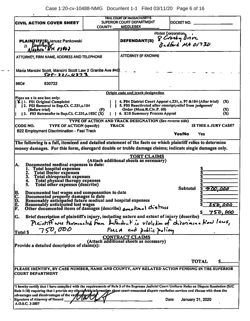Case 1:20-cv-10488-NMG Document 1-1 Filed 03/11/20 Page 6 of 16

| CIVIL ACTION COVER SHEET                                                                                                                                                                                                                                                                                                                                                                                            | COUNTY:      | <b>TRIAL COURT OF MASSACHUSETTS</b><br><b>SUPERIOR COURT DEPARTMENT</b><br><b>MIDDLESEX</b>                                                                                            |                                                                       | DOCKET NO.       |                      |
|---------------------------------------------------------------------------------------------------------------------------------------------------------------------------------------------------------------------------------------------------------------------------------------------------------------------------------------------------------------------------------------------------------------------|--------------|----------------------------------------------------------------------------------------------------------------------------------------------------------------------------------------|-----------------------------------------------------------------------|------------------|----------------------|
|                                                                                                                                                                                                                                                                                                                                                                                                                     |              |                                                                                                                                                                                        |                                                                       |                  |                      |
| <b>PLAINTIFF(S)</b> Janusz Pankowski<br>$D$ cylilly $D$<br><b>NH 03862</b>                                                                                                                                                                                                                                                                                                                                          |              | <b>DEFENDANT(S)</b>                                                                                                                                                                    | iRobot Corporation <sub>o</sub><br>8 Crosby Drive<br>Bedford MA 01730 |                  |                      |
| ATTORNEY, FIRM NAME, ADDRESS AND TELEPHONE                                                                                                                                                                                                                                                                                                                                                                          |              | <b>ATTORNEY (IF KNOWN)</b>                                                                                                                                                             |                                                                       |                  |                      |
| Maria Mancini Scott, Mancini Scott Law 2 Granite Ave #40<br><u>508 - 821 - 4373</u>                                                                                                                                                                                                                                                                                                                                 |              |                                                                                                                                                                                        |                                                                       |                  |                      |
| <b>BBO#</b><br>630722                                                                                                                                                                                                                                                                                                                                                                                               |              |                                                                                                                                                                                        |                                                                       |                  |                      |
|                                                                                                                                                                                                                                                                                                                                                                                                                     |              | Origin code and track designation                                                                                                                                                      |                                                                       |                  |                      |
| Place an x in one box only:<br>[X] 1. F01 Original Complaint<br>2. F02 Removal to Sup.Ct. C.231,s.104<br>(Before trial)<br>3. F03 Retransfer to Sup.Ct. C.231,s.102C (X)                                                                                                                                                                                                                                            | (F)          | 4. F04 District Court Appeal c.231, s. 97 & 104 (After trial)<br>5. F05 Reactivated after rescript; relief from judgment/<br>Order (Mass.R.Civ.P. 60)<br>6. E10 Summary Process Appeal |                                                                       |                  | (X)<br>(X)<br>(X)    |
|                                                                                                                                                                                                                                                                                                                                                                                                                     |              | TYPE OF ACTION AND TRACK DESIGNATION (See reverse side)                                                                                                                                |                                                                       |                  |                      |
| CODE NO.<br>TYPE OF ACTION (specify)                                                                                                                                                                                                                                                                                                                                                                                | <b>TRACK</b> |                                                                                                                                                                                        |                                                                       |                  | IS THIS A JURY CASE? |
| B22 Employment Discrimination - Fast Track                                                                                                                                                                                                                                                                                                                                                                          |              |                                                                                                                                                                                        |                                                                       | Yes/No           | Yes                  |
|                                                                                                                                                                                                                                                                                                                                                                                                                     |              |                                                                                                                                                                                        |                                                                       |                  |                      |
| The following is a full, itemized and detailed statement of the facts on which plaintiff relies to determine<br>money damages. For this form, disregard double or treble damage claims; indicate single damages only.                                                                                                                                                                                               |              |                                                                                                                                                                                        |                                                                       |                  |                      |
| Documented medical expenses to date:<br>IA.<br>1. Total hospital expenses<br><b>Total Doctor expenses</b><br>$\frac{2}{3}$ .<br>Total chiropractic expenses<br>Total physical therapy expenses<br>Total other expenses (describe)<br>4.<br>5.<br>Documented lost wages and compensation to date<br> B.<br>lC.<br>Documented property damages to date<br>Reasonably anticipated future medical and hospital expenses |              | <b>TORT CLAIMS</b><br>(Attach additional sheets as necessary)                                                                                                                          |                                                                       | Subtotal         | 5 D.D. DOC<br>Š      |
| $\left  \begin{matrix} \tilde{\mathbf{p}} \ \tilde{\mathbf{E}} \ \tilde{\mathbf{F}} \ \end{matrix} \right $<br>Reasonably anticipated lost wages<br>Other documented items of damages (describe) amotional chistress<br>rier description of plaintiffs injury, including nature and extent of injury (describe)<br>Plaintiff wer terminated from Autendant in violetion of chierining tion laws,                    |              |                                                                                                                                                                                        |                                                                       |                  | <u> 250.000</u>      |
| Brief description of plaintiff's injury, including nature and extent of injury (describe)<br>G.                                                                                                                                                                                                                                                                                                                     |              |                                                                                                                                                                                        |                                                                       |                  |                      |
| 750,000                                                                                                                                                                                                                                                                                                                                                                                                             |              | Fuca and public policy                                                                                                                                                                 |                                                                       |                  |                      |
| Total S<br>Provide a detailed description of claim(s):                                                                                                                                                                                                                                                                                                                                                              |              | <b>CONTRACT CLAIMS</b><br>(Attach additional sheets as necessary)                                                                                                                      |                                                                       |                  |                      |
|                                                                                                                                                                                                                                                                                                                                                                                                                     |              |                                                                                                                                                                                        |                                                                       |                  | <b>TOTAL</b>         |
| PLEASE IDENTIFY, BY CASE NUMBER, NAME AND COUNTY, ANY RELATED ACTION PENDING IN THE SUPERIOR<br> COURT DEPARTMENT                                                                                                                                                                                                                                                                                                   |              |                                                                                                                                                                                        |                                                                       |                  |                      |
| "I hereby certify that I have complied with the requirements of Rule 5 of the Supreme Judicial Court Uniform Rules on Dispute Resolution (SJC<br>Rule 1:18) requiring that I provide my clients with information about court-connected dispute resolution services and discuss with them the<br>advantages and disadvantages of the var/buy met/ody<br>Signature of Attorney of Record                              |              |                                                                                                                                                                                        | Date:                                                                 | January 31, 2020 |                      |
| A.O.S.C. 3-2007                                                                                                                                                                                                                                                                                                                                                                                                     |              |                                                                                                                                                                                        |                                                                       |                  |                      |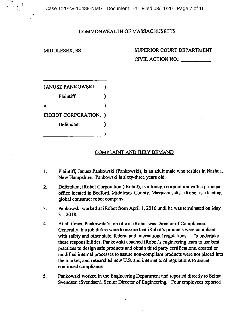Case 1:20-cv-10488-NMG Document 1-1 Filed 03/11/20 Page 7 of 16

### **COMMONWEALTH OF MASSACHUSETTS**

### **MIDDLESEX, SS SUPERIOR COURT DEPARTMENT CIVIL ACTION NO.:**

| JANUSZ PANKOWSKI,<br>. ) |  |
|--------------------------|--|
| Plaintiff                |  |
| V.                       |  |
| IROBOT CORPORATION, )    |  |
| Defendant                |  |
|                          |  |

### **COMPLAINT AND JURY DEMAND**

- **Plaintiff, Janusz Pankowski (Pankowski), is an adult male who resides in Nashua, New Hampshire. Pankowski is sixty-three years old. 1.**
- **Defendant, iRobot Corporation (iRobot), is a foreign corporation with a principal office located in Bedford, Middlesex County, Massachusetts. iRobot is a leading global consumer robot company. 2.**
- **Pankowski worked at iRobot from April 1,2016 until he was terminated on May 31,2018. 3.**
- **At all times, Pankowski'sjob title at iRobot was Director ofCompliance. Generally, his Job duties were to assure that iRobot's products were compliant with safety and other state, federal and international regulations. To undertake these responsibilities, Pankowski coached iRobot\*s engineering team to use best practices to design safe products and obtain third party certifications, created or modified internal processes to assure non-compliant products were not placed into the market; and researched new U.S. and international regulations to assure continued compliance. 4.**
- **Pankowski worked in the Engineering Department and reported directly to Selma Svendsen** (Svendsen), Senior Director of Engineering. Four employees reported **5.**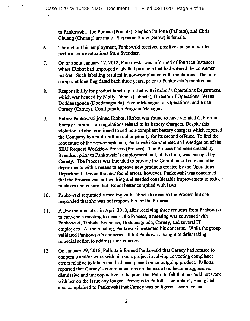to Pankowski. Joe Pomata (Pomata), Stephen Pallotta (Paliotta), and Chris Chuang (Chuang) are male. Stephanie Snow (Snow) is female.

- Throughout his employment, Pankowski received positive and solid written performance evaluations from Svendsen. 6.
- On or about January 17, 2018, Pankowski was informed of fourteen instances where iRobot had improperly labelled products that had entered the consumer market. Such labelling resulted in non-compliance with regulations. The noncompliant labelling dated back three years, prior to Pankowski's employment. 7.
- Responsibility for product labelling rested with iRobot's Operations Department, which was headed by Molly Tibbets (Tibbets), Director of Operations; Veena Doddanagouda (Doddanagouda), Senior Manager for Operations; and Briae Carney (Carney), Configuration Program Manager. 8.
- Before Pankowski joined iRobot, iRobot was found to have violated California Energy Commission regulations related to its battery chargers. Despite this violation, iRobot continued to sell non-compliant battery chargers which exposed the Company to a multimillion dollar penalty for its second offence. To find the root cause of the non-compliance, Pankowski commenced an investigation of the SKU Request Workflow Process (Process). The Process had been created by Svendsen prior to Pankowski's employment and, at the time, was managed by Carney. The Process was intended to provide the Compliance Team and other departments with a means to approve new products created by the Operations Department. Given the new found errors, however, Pankowski was concerned that the Process was not working and needed considerable improvement to reduce mistakes and ensure that iRobot better complied with laws. 9.
- Pankowski requested a meeting with Tibbets to discuss the Process but she responded that she was not responsible for the Process, 10.
- A few months later, in April 2018, after receiving three requests from Pankowski to convene a meeting to discuss the Process, a meeting was convened with Pankowski, Tibbets, Svendsen, Doddanagouda, Carney, and several IT employees. At the meeting, Pankowski presented his concerns. While the group validated Pankowski's concerns, all but Pankowski sought to defer taking remedial action to address such concerns. 11.
- On January 29,2018, Pallotta informed Pankowski that Carney had refused to cooperate and/or work with him on a project involving correcting compliance errors relative to labels that had been placed on an outgoing product. Pallotta reported that Carney's communications on the issue had become aggressive, dismissive and uncooperative to the point that Pallotta felt that he could not work with her on the issue any longer. Previous to Pallotta's complaint, Huang had also complained to Pankowski that Carney was belligerent, coercive and 12.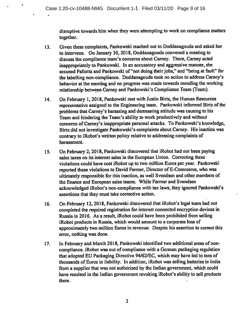disruptive towards him when they were attempting to work on compliance matters together.

- Given these complaints, Pankowski reached out to Doddanagouda and asked her to intervene. On January 30, 2018, Doddanagouda convened a meeting to discuss the compliance team's concerns about Carney. There, Carney acted inappropriately to Pankowski. In an accusatory and aggressive manner, she accused Pallotta and Pankowski of"not doing theirjobs," and "being at fault" for the labelling non-compliance. Doddanagouda took no action to address Carney's behavior at the meeting and no progress was made towards mending the working relationship between Carney and Pankowski's Compliance Team (Team). 13.
- On February 1,2018, Pankowski met with Justin Birtz, the Human Resources representative assigned to the Engineering team. Pankowski informed Birtz of the problems that Carney's harassing and demeaning attitude was causing to his Team and hindering the Team's ability to work productively and without concerns of Carney's inappropriate personal attacks. To Pankowski's knowledge, Birtz did not investigate Pankowski's complaints about Carney. His inaction was contrary to iRobot's written policy relative to addressing complaints of harassment. 14.
- On February 2,2018, Pankowski discovered that iRobot had not been paying sales taxes on its internet sales in the European Union. Correcting these violations could have cost iRobot up to two million Euros per year. Pankowski reported these violations to David Farmer, Director of E-Commerce, who was ultimately responsible for this inaction, as well Svendsen and other members of the finance and European sales teams. While Farmer and Svendsen acknowledged iRobot's non-compliance with tax laws, they ignored Pankowski's assertions that they must take corrective action. 15.
- On February 12,2018, Pankowski discovered that iRobot's legal team had not completed the required registration for internet connected encryption devices in Russia in 2016. As a result, iRobot could have been prohibited from selling iRobot products in Russia, which would amount to a corporate loss of approximately two million Euros in revenue. Despite his assertion to correct this error, nothing was done. 16.
- In February and March 2018, Pankowski identified two additional areas of noncompliance. iRobot was out of compliance with a German packaging regulation that adopted EU Packaging Directive 94/62/EC, which may have led to tens of thousands ofEuros in liability. In addition, iRobot was selling batteries in India from a supplier that was not authorized by the Indian government, which could have resulted in the Indian government revoking iRobot's ability to sell products there. 17.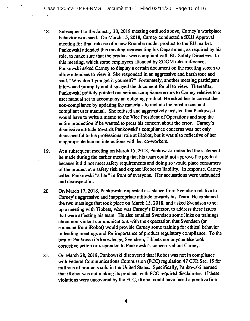- Subsequent to the January 30,2018 meeting outlined above, Carney's workplace behavior worsened. On March 15,2018, Carney conducted a SKU Approval meeting for final release of a new Roomba model product to the EU market. Pankowski attended this meeting representing his Department, as required by his role, to make sure that the product was compliant with EU Safety Directives. In this meeting, which some employees attended by ZOOM teleconference, Pankowski asked Carney to display a certain document on the meeting screen to allow attendees to view it. She responded in an aggressive and harsh tone and said, "Why don't you get it yourself?" Fortunately, another meeting participant intervened promptly and displayed the document for all to view. Thereafter, Pankowski politely pointed out serious compliance errors to Carney relative to a user manual set to accompany an outgoing product. He asked her to correct the non-compliance by updating the materials to include the most recent and compliant user manual. She refused and aggressively insisted that Pankowski would have to write a memo to the Vice President of Operations and stop the entire production if he wanted to press his concern about the error. Carney's dismissive attitude towards Pankowski's compliance concerns was not only disrespectful to his professional role at iRobot, but it was also reflective of her inappropriate human interactions with her co-workers. 18.
- At a subsequent meeting on March 15,2018, Pankowski reiterated the statement he made during the earlier meeting that his team could not approve the product because it did not meet safety requirements and doing so would place consumers ofthe product at a safety risk and expose iRobot to liability. In response, Carney called Pankowski "a liar" in front of everyone. Her accusations were unfounded and disrespectful. 19.
- On March 17,2018, Pankowski requested assistance from Svendsen relative to Carney's aggressive and inappropriate attitude towards his Team. He explained the two meetings that took place on March 15, 2018, and asked Svendsen to set up a meeting with Tibbets, who was Carney's Director, to address these issues that were affecting his team. He also emailed Svendsen some links on trainings about non-violent communications with the expectation that Svendsen (or someone from iRobot) would provide Carney some training for ethical behavior in leading meetings and for importance of product regulatory compliance. To the best of Pankowski's knowledge, Svendsen, Tibbets nor anyone else took corrective action or responded to Pankowski's concerns about Carney. 20.
- On March 28,2018, Pankowski discovered that iRobot was not in compliance with Federal Communications Commission (FCC) regulation 47 CFR Sec. 15 for millions of products sold in the United States. Specifically, Pankowski learned that iRobot was not making its products with FCC required disclaimers. If these violations were uncovered by the FCC, iRobot could have faced a punitive fine 21.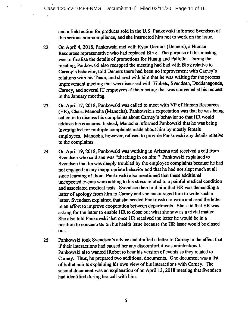and a field action for products sold in the U.S. Pankowski informed Svendsen of this serious non-compliance, and she instructed him not to work on the issue.

- On April 4,2018, Pankowski met with Ryan Demers (Demers), a Human Resources representative who had replaced Birtz. The purpose of this meeting was to finalize the details of promotions for Huang and Pallotta. During the meeting, Pankowski also recapped the meeting had had with Birtz relative to Carney's behavior, told Demers there had been no improvement with Carney's relations with his Team, and shared with him that he was waiting for the process improvement meeting that was discussed with Tibbets, Svendsen, Doddanagouda, Carney, and several IT employees at the meeting that was convened at his request in the January meeting. 22
- On April 17, 2018, Pankowski was called to meet with VP of Human Resources (HR), Charu Manocha (Manocha). Pankowski's expectation was that he was being called in to discuss his complaints about Carney's behavior so that HR would address his concerns. Instead, Manocha informed Pankowski that he was being investigated for multiple complaints made about him by mostly female employees. Manocha, however, refused to provide Pankowski any details relative to the complaints. 23.
- On April 19,2018, Pankowski was working in Arizona and received a call from Svendsen who said she was "checking in on him." Pankowski explained to Svendsen that he was deeply troubled by the employee complaints because he had not engaged in any inappropriate behavior and that he had not slept much at all since learning of them. Pankowski also mentioned that these additional unexpected events were adding to his stress related to a painful medical condition and associated medical tests. Svendsen then told him that HR was demanding a letter of apology from him to Carney and she encouraged him to write such a letter. Svendsen explained that she needed Pankowski to write and send the letter in an effort to improve cooperation between departments. She said that HR was asking for the letter to enable HR to close out what she saw as a trivial matter. She also told Pankowski that once HR received the letter he would be in a position to concentrate on his health issue because the HR issue would be closed out. 24.
- Pankowski took Svendsen's advice and drafted a letter to Carney to the effect that if their interactions had caused her any discomfort it was unintentional. Pankowski also wanted iRobot to hear his version of events as they related to Carney. Thus, he prepared two additional documents. One document was a list of bullet points explaining his own view of his interactions with Carney. The second document was an explanation of an April 13, 2018 meeting that Svendsen had identified during her call with him. 25.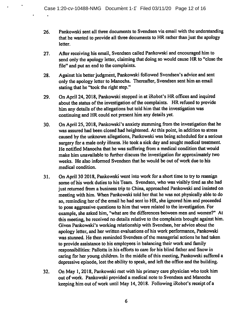- Pankowski sent all three documents to Svendsen via email with the understanding that he wanted to provide all three documents to HR rather than just the apology letter. 26.
- After receiving his email, Svendsen called Pankowski and encouraged him to send only the apology letter, claiming that doing so would cause HR to "close the file" and put an end to the complaints. 27.
- Against his better judgment, Pankowski followed Svendsen's advice and sent only the apology letter to Manocha. Thereafter, Svendsen sent him an email stating that he "took the right step," 28.
- On April 24,2018, Pankowski stopped in at iRobot's HR offices and inquired about the status of the investigation of the complaints. HR refused to provide him any details of the allegations but told him that the investigation was continuing and HR could not present him any details yet. 29.
- On April 25,2018, Pankowski's anxiety stemming from the investigation that he was assured had been closed had heightened. At this point, in addition to stress caused by the unknown allegations, Pankowski was being scheduled for a serious surgery for a male only illness. He took a sick day and sought medical treatment. He notified Manocha that he was suffering from a medical condition that would make him unavailable to further discuss the investigation for approximately two weeks. He also informed Svendsen that he would be out of work due to his medical condition. 30.
- On April 30 2018, Pankowski went into work for a short time to try to reassign some of his work duties to his Team. Svendsen, who was visibly tired as she had just returned from a business trip to China, approached Pankowski and insisted on meeting with him. When Pankowski told her that he was not physically able to do so, reminding her of the email he had sent to HR, she ignored him and proceeded to pose aggressive questions to him that were related to the investigation. For example, she asked him, "what are the differences between men and women?" At this meeting, he received no details relative to the complaints brought against him. Given Pankowski's working relationship with Svendsen, her advice about the apology letter, and her written evaluations of his work performance, Pankowski was stunned. He then reminded Svendsen of the managerial actions he had taken to provide assistance to his employees in balancing their work and family responsibilities: Pallotta in his efforts to care for his blind father and Snow in caring for her young children. In the middle of this meeting, Pankowski suffered a depressive episode, lost the ability to speak, and left the office and the building. 31.
- On May 1,2018, Pankowski met with his primary care physician who took him out of work. Pankowski provided a medical note to Svendsen and Manocha keeping him out of work until May 14, 2018. Following iRobot's receipt of a 32.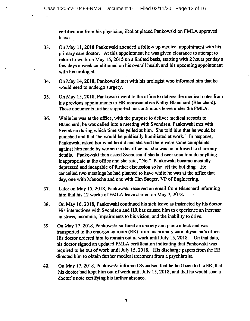certification from his physician, iRobot placed Pankowski on FMLA approved leave.

- On May 11,2018 Pankowski attended a follow up medical appointment with his primary care doctor. At this appointment he was given clearance to attempt to return to work on May 15,2015 on a limited basis, starting with 2 hours per day a few days a week conditioned on his overall health and his upcoming appointment with his urologist. 33.
- On May 14,2018, Pankowski met with his urologist who informed him that he would need to undergo surgery. 34.
- On May 15,2018, Pankowski went to the office to deliver the medical notes from his previous appointments to HR representative Kathy Blanchard (Blanchard). These documents further supported his continuous leave under the FMLA. 35.
- While he was at the office, with the purpose to deliver medical records to Blanchard, he was called into a meeting with Svendsen. Pankowski met with Svendsen during which time she yelled at him. She told him that he would be punished and that "he would be publically humiliated at work." In response, Pankowski asked her what he did and she said there were some complaints against him made by women in the office but she was not allowed to share any details. Pankowski then asked Svendsen if she had ever seen him do anything inappropriate at the office and she said, "No." Pankowski became mentally depressed and incapable of further discussion so he left the building. He cancelled two meetings he had planned to have while he was at the office that day, one with Manocha and one with Tim Saeger, VP of Engineering. 36.
- Later on May 15,2018, Pankowski received an email from Blanchard informing him that his 12 weeks of FMLA leave started on May 7, 2018. 37.
- On May 16,2018, Pankowski continued his sick leave as instructed by his doctor. His interactions with Svendsen and HR has caused him to experience an increase in stress, insomnia, impairments to his vision, and the inability to drive. 38.
- On May 17,2018, Pankowski suffered an anxiety and panic attack and was transported to the emergency room (ER) from his primary care physician's office. His doctor ordered him to remain out of work until July 15, 2018. On that date, his doctor signed an updated FMLA certification indicating that Pankowski was required to be out of work until July 15, 2018. His discharge papers from the ER directed him to obtain further medical treatment from a psychiatrist. 39.
- On May 17,2018, Pankowski informed Svendsen that he had been to the ER, that his doctor had kept him out of work until July 15, 2018, and that he would send a doctor's note certifying his further absence. 40.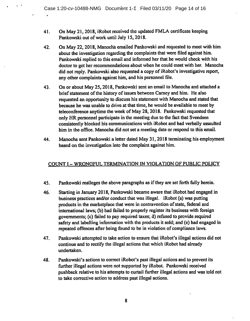- On May 21,2018, iRobot received the updated FMLA certificate keeping Pankowski out of work until July 15, 2018. 41.
- On May 22,2018, Manoch'a emailed Pankowski and requested to meet with him about the investigation regarding the complaints that were filed against him. Pankowski replied to this email and informed her that he would check with his doctor to get her recommendations about when he could meet with her. Manocha did not reply. Pankowski also requested a copy of iRobot's investigative report, any other complaints against him, and his personnel file. 42.
- On or about May 25,2018, Pankowski sent an email to Manocha and attached a brief statement of the history of issues between Carney and him. He also requested an opportunity to discuss his statement with Manocha and stated that because he was unable to drive at that time, he would be available to meet by teleconference anytime the week of May 28, 2018. Pankowski requested that only HR personnel participate in the meeting due to the fact that Svendsen consistently blocked his communications with iRobot and had verbally assaulted him in the office. Manocha did not set a meeting date or respond to this email. 43.
- Manocha sent Pankowski a letter dated May 31,2018 terminating his employment based on the investigation into the complaint against him. 44.

### COUNT <sup>I</sup> - WRONGFUL TERMINATION IN VIOLATION OF PUBLIC POLICY

- Pankowski realleges the above paragraphs as if they are set forth fully herein. 45.
- Starting in January 2018, Pankowski became aware that iRobot had engaged in business practices and/or conduct that was illegal. iRobot (a) was putting products in the marketplace that were in contravention of state, federal and international laws; (b) had failed to properly register its business with foreign governments; (c) failed to pay required taxes; d) refused to provide required safety and labelling information with the products it sold; and (e) had engaged in repeated offences after being found to be in violation of compliance laws. 46.
- Pankowski attempted to take action to ensure that iRobot's illegal actions did not continue and to rectify the illegal actions that which iRobot had already undertaken. 47.
- Pankowski's actions to correct iRobot's past illegal actions and to prevent its further illegal actions were not supported by iRobot. Pankowski received pushback relative to his attempts to curtail further illegal actions and was told not to take corrective action to address past illegal actions. 48.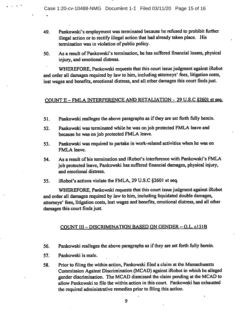- Pankowski's employment was terminated because he refused to prohibit further illegal action or to rectify illegal action that had already taken place. His termination was in violation of public policy. 49.
- As a result of Pankowski's termination, he has suffered financial losses, physical injury, and emotional distress. 50.

WHEREFORE, Pankowski requests that this court issue judgment against iRobot and order all damages required by law to him, including attorneys' fees, litigation costs, lost wages and benefits, emotional distress, and all other damages this court finds just.

### COUNT II - FMLA INTERFERENCE AND RETALIATION - <sup>29</sup> U.S.C S2601 et sea.

- 51. Pankowski realleges the above paragraphs as ifthey are set forth fully herein.
- 52. Pankowski was terminated while he was on job protected FMLA leave and because he was on job protected FMLA leave.
- 53. Pankowski was required to partake in work-related activities when he was on FMLA leave.
- 54. As a result of his termination and iRobot's interference with Pankowski's FMLA job protected leave, Pankowski has suffered financial damages, physical injury, and emotional distress.
- 55. iRobot's actions violate the FMLA, 29 U.S.C §2601 et seq.

WHEREFORE, Pankowski requests that this court issue judgment against iRobot and order all damages required by law to him, including liquidated double damages, attorneys' fees, litigation costs, lost wages and benefits, emotional distress, and all other damages this court finds just.

### COUNT III - DISCRIMINATION BASED ON GENDER- G.L. c151B

- Pankowski realleges the above paragraphs as if they are set forth fully herein. 56.
- Pankowski is male. 57.

 $\mathcal{L}$ 

Prior to filing the within action, Pankowski filed a claim at the Massachusetts Commission Against Discrimination (MCAD) against iRobot in which he alleged gender discrimination. The MCAD dismissed the claim pending at the MCAD to allow Pankowski to file the within action in this court. Pankowski has exhausted the required administrative remedies prior to filing this action. 58.